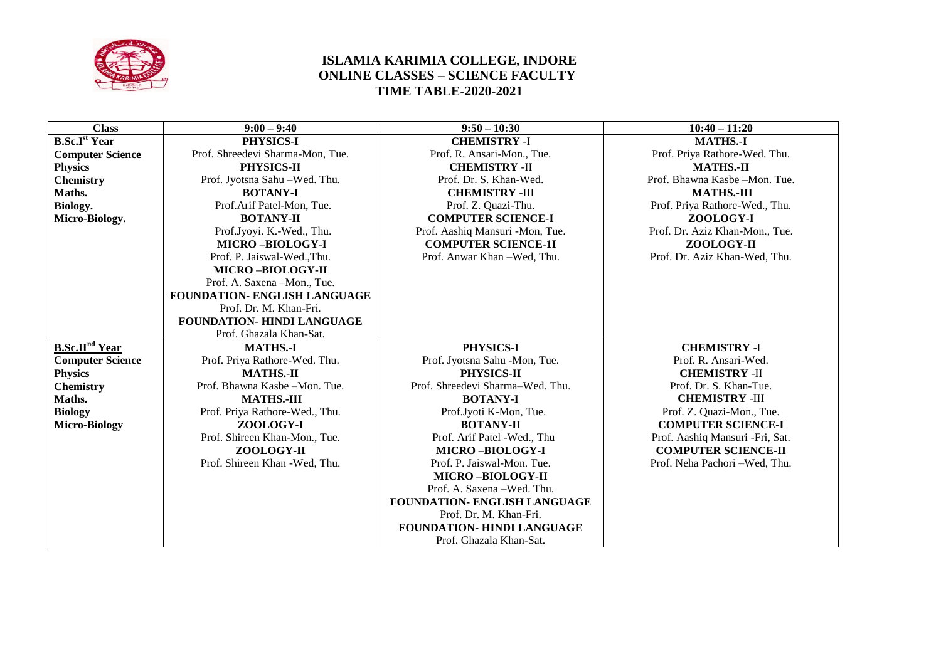

## **ISLAMIA KARIMIA COLLEGE, INDORE ONLINE CLASSES – SCIENCE FACULTY TIME TABLE-2020-2021**

| <b>Class</b>                     | $9:00 - 9:40$                     | $9:50 - 10:30$                      | $10:40 - 11:20$                 |
|----------------------------------|-----------------------------------|-------------------------------------|---------------------------------|
| <b>B.Sc.I</b> <sup>st</sup> Year | PHYSICS-I                         | <b>CHEMISTRY -I</b>                 | <b>MATHS.-I</b>                 |
| <b>Computer Science</b>          | Prof. Shreedevi Sharma-Mon, Tue.  | Prof. R. Ansari-Mon., Tue.          | Prof. Priya Rathore-Wed. Thu.   |
| <b>Physics</b>                   | PHYSICS-II                        | <b>CHEMISTRY -II</b>                | <b>MATHS.-II</b>                |
| <b>Chemistry</b>                 | Prof. Jyotsna Sahu - Wed. Thu.    | Prof. Dr. S. Khan-Wed.              | Prof. Bhawna Kasbe-Mon. Tue.    |
| Maths.                           | <b>BOTANY-I</b>                   | <b>CHEMISTRY -III</b>               | <b>MATHS.-III</b>               |
| Biology.                         | Prof.Arif Patel-Mon, Tue.         | Prof. Z. Quazi-Thu.                 | Prof. Priya Rathore-Wed., Thu.  |
| Micro-Biology.                   | <b>BOTANY-II</b>                  | <b>COMPUTER SCIENCE-I</b>           | ZOOLOGY-I                       |
|                                  | Prof.Jyoyi. K.-Wed., Thu.         | Prof. Aashiq Mansuri -Mon, Tue.     | Prof. Dr. Aziz Khan-Mon., Tue.  |
|                                  | <b>MICRO-BIOLOGY-I</b>            | <b>COMPUTER SCIENCE-1I</b>          | ZOOLOGY-II                      |
|                                  | Prof. P. Jaiswal-Wed., Thu.       | Prof. Anwar Khan -Wed, Thu.         | Prof. Dr. Aziz Khan-Wed, Thu.   |
|                                  | <b>MICRO-BIOLOGY-II</b>           |                                     |                                 |
|                                  | Prof. A. Saxena -Mon., Tue.       |                                     |                                 |
|                                  | FOUNDATION- ENGLISH LANGUAGE      |                                     |                                 |
|                                  | Prof. Dr. M. Khan-Fri.            |                                     |                                 |
|                                  | <b>FOUNDATION- HINDI LANGUAGE</b> |                                     |                                 |
|                                  | Prof. Ghazala Khan-Sat.           |                                     |                                 |
| <b>B.Sc.II<sup>nd</sup></b> Year | <b>MATHS.-I</b>                   | PHYSICS-I                           | <b>CHEMISTRY -I</b>             |
| <b>Computer Science</b>          | Prof. Priya Rathore-Wed. Thu.     | Prof. Jyotsna Sahu -Mon, Tue.       | Prof. R. Ansari-Wed.            |
| <b>Physics</b>                   | <b>MATHS.-II</b>                  | PHYSICS-II                          | <b>CHEMISTRY -II</b>            |
| <b>Chemistry</b>                 | Prof. Bhawna Kasbe-Mon. Tue.      | Prof. Shreedevi Sharma-Wed. Thu.    | Prof. Dr. S. Khan-Tue.          |
| Maths.                           | <b>MATHS.-III</b>                 | <b>BOTANY-I</b>                     | <b>CHEMISTRY -III</b>           |
| <b>Biology</b>                   | Prof. Priya Rathore-Wed., Thu.    | Prof.Jyoti K-Mon, Tue.              | Prof. Z. Quazi-Mon., Tue.       |
| <b>Micro-Biology</b>             | ZOOLOGY-I                         | <b>BOTANY-II</b>                    | <b>COMPUTER SCIENCE-I</b>       |
|                                  | Prof. Shireen Khan-Mon., Tue.     | Prof. Arif Patel -Wed., Thu         | Prof. Aashiq Mansuri -Fri, Sat. |
|                                  | ZOOLOGY-II                        | <b>MICRO-BIOLOGY-I</b>              | <b>COMPUTER SCIENCE-II</b>      |
|                                  | Prof. Shireen Khan - Wed, Thu.    | Prof. P. Jaiswal-Mon. Tue.          | Prof. Neha Pachori -Wed, Thu.   |
|                                  |                                   | <b>MICRO-BIOLOGY-II</b>             |                                 |
|                                  |                                   | Prof. A. Saxena - Wed. Thu.         |                                 |
|                                  |                                   | <b>FOUNDATION- ENGLISH LANGUAGE</b> |                                 |
|                                  |                                   | Prof. Dr. M. Khan-Fri.              |                                 |
|                                  |                                   | FOUNDATION- HINDI LANGUAGE          |                                 |
|                                  |                                   | Prof. Ghazala Khan-Sat.             |                                 |